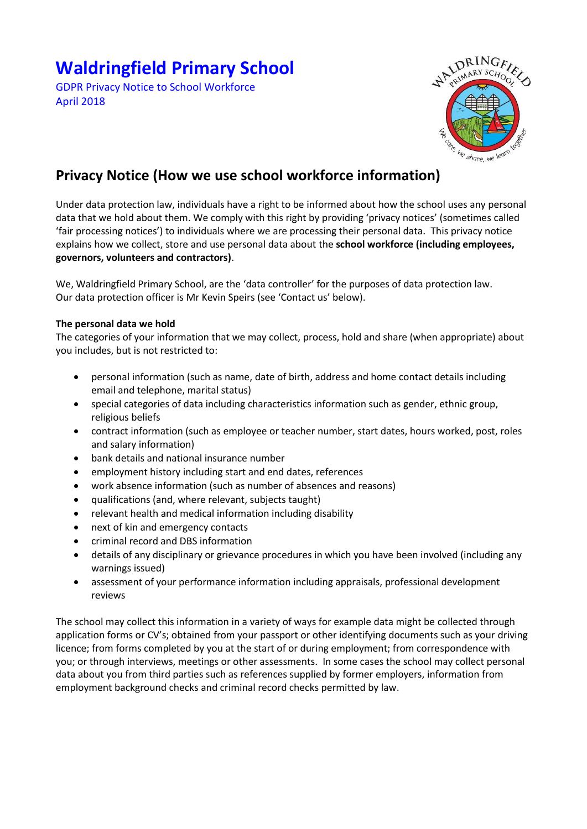# **Waldringfield Primary School**

GDPR Privacy Notice to School Workforce April 2018



# **Privacy Notice (How we use school workforce information)**

Under data protection law, individuals have a right to be informed about how the school uses any personal data that we hold about them. We comply with this right by providing 'privacy notices' (sometimes called 'fair processing notices') to individuals where we are processing their personal data. This privacy notice explains how we collect, store and use personal data about the **school workforce (including employees, governors, volunteers and contractors)**.

We, Waldringfield Primary School, are the 'data controller' for the purposes of data protection law. Our data protection officer is Mr Kevin Speirs (see 'Contact us' below).

# **The personal data we hold**

The categories of your information that we may collect, process, hold and share (when appropriate) about you includes, but is not restricted to:

- personal information (such as name, date of birth, address and home contact details including email and telephone, marital status)
- special categories of data including characteristics information such as gender, ethnic group, religious beliefs
- contract information (such as employee or teacher number, start dates, hours worked, post, roles and salary information)
- bank details and national insurance number
- employment history including start and end dates, references
- work absence information (such as number of absences and reasons)
- qualifications (and, where relevant, subjects taught)
- relevant health and medical information including disability
- next of kin and emergency contacts
- criminal record and DBS information
- details of any disciplinary or grievance procedures in which you have been involved (including any warnings issued)
- assessment of your performance information including appraisals, professional development reviews

The school may collect this information in a variety of ways for example data might be collected through application forms or CV's; obtained from your passport or other identifying documents such as your driving licence; from forms completed by you at the start of or during employment; from correspondence with you; or through interviews, meetings or other assessments. In some cases the school may collect personal data about you from third parties such as references supplied by former employers, information from employment background checks and criminal record checks permitted by law.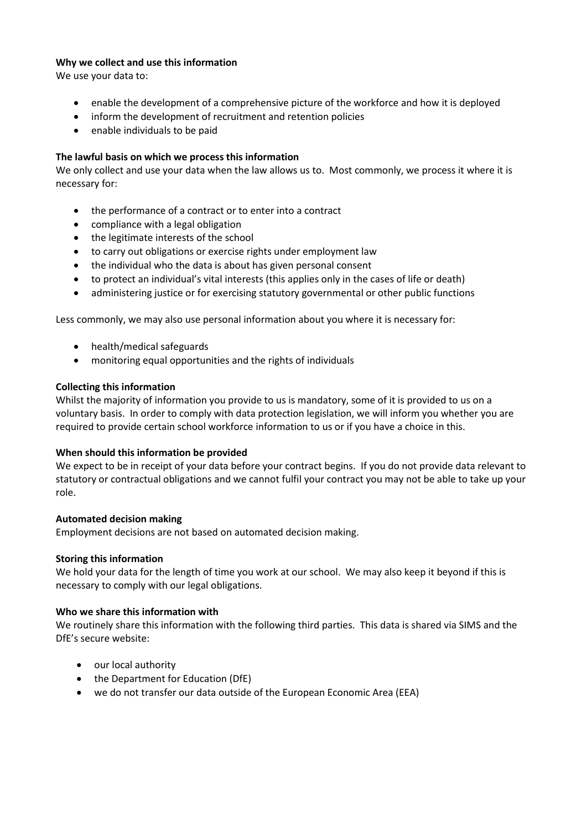# **Why we collect and use this information**

We use your data to:

- enable the development of a comprehensive picture of the workforce and how it is deployed
- inform the development of recruitment and retention policies
- enable individuals to be paid

# **The lawful basis on which we process this information**

We only collect and use your data when the law allows us to. Most commonly, we process it where it is necessary for:

- the performance of a contract or to enter into a contract
- compliance with a legal obligation
- the legitimate interests of the school
- to carry out obligations or exercise rights under employment law
- the individual who the data is about has given personal consent
- to protect an individual's vital interests (this applies only in the cases of life or death)
- administering justice or for exercising statutory governmental or other public functions

Less commonly, we may also use personal information about you where it is necessary for:

- health/medical safeguards
- monitoring equal opportunities and the rights of individuals

# **Collecting this information**

Whilst the majority of information you provide to us is mandatory, some of it is provided to us on a voluntary basis. In order to comply with data protection legislation, we will inform you whether you are required to provide certain school workforce information to us or if you have a choice in this.

#### **When should this information be provided**

We expect to be in receipt of your data before your contract begins. If you do not provide data relevant to statutory or contractual obligations and we cannot fulfil your contract you may not be able to take up your role.

#### **Automated decision making**

Employment decisions are not based on automated decision making.

#### **Storing this information**

We hold your data for the length of time you work at our school. We may also keep it beyond if this is necessary to comply with our legal obligations.

#### **Who we share this information with**

We routinely share this information with the following third parties. This data is shared via SIMS and the DfE's secure website:

- our local authority
- the Department for Education (DfE)
- we do not transfer our data outside of the European Economic Area (EEA)